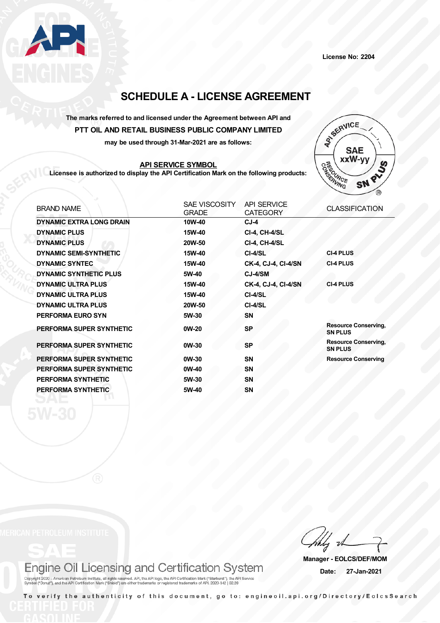

**License No: 2204**

# **SCHEDULE A - LICENSE AGREEMENT**

### **The marks referred to and licensed under the Agreement between API and PTT OIL AND RETAIL BUSINESS PUBLIC COMPANY LIMITED**

**may be used through 31-Mar-2021 are as follows:**

### **API SERVICE SYMBOL**

**Licensee is authorized to display the API Certification Mark on the following products:**



| <b>BRAND NAME</b>               | SAE VISCOSITY<br><b>GRADE</b> | <b>API SERVICE</b><br><b>CATEGORY</b> | <b>CLASSIFICATION</b>                         |
|---------------------------------|-------------------------------|---------------------------------------|-----------------------------------------------|
| <b>DYNAMIC EXTRA LONG DRAIN</b> | 10W-40                        | $CJ-4$                                |                                               |
| <b>DYNAMIC PLUS</b>             | 15W-40                        | <b>CI-4, CH-4/SL</b>                  |                                               |
| <b>DYNAMIC PLUS</b>             | 20W-50                        | <b>CI-4, CH-4/SL</b>                  |                                               |
| <b>DYNAMIC SEMI-SYNTHETIC</b>   | 15W-40                        | CI-4/SL                               | <b>CI-4 PLUS</b>                              |
| <b>DYNAMIC SYNTEC</b>           | 15W-40                        | <b>CK-4, CJ-4, CI-4/SN</b>            | <b>CI-4 PLUS</b>                              |
| <b>DYNAMIC SYNTHETIC PLUS</b>   | 5W-40                         | CJ-4/SM                               |                                               |
| <b>DYNAMIC ULTRA PLUS</b>       | 15W-40                        | CK-4, CJ-4, CI-4/SN                   | <b>CI-4 PLUS</b>                              |
| <b>DYNAMIC ULTRA PLUS</b>       | 15W-40                        | CI-4/SL                               |                                               |
| <b>DYNAMIC ULTRA PLUS</b>       | 20W-50                        | CI-4/SL                               |                                               |
| <b>PERFORMA EURO SYN</b>        | 5W-30                         | <b>SN</b>                             |                                               |
| PERFORMA SUPER SYNTHETIC        | 0W-20                         | <b>SP</b>                             | <b>Resource Conserving,</b><br><b>SN PLUS</b> |
| PERFORMA SUPER SYNTHETIC        | $0W-30$                       | <b>SP</b>                             | <b>Resource Conserving,</b><br><b>SN PLUS</b> |
| PERFORMA SUPER SYNTHETIC        | 0W-30                         | <b>SN</b>                             | <b>Resource Conserving</b>                    |
| PERFORMA SUPER SYNTHETIC        | 0W-40                         | <b>SN</b>                             |                                               |
| PERFORMA SYNTHETIC              | 5W-30                         | <b>SN</b>                             |                                               |
| PERFORMA SYNTHETIC              | 5W-40                         | <b>SN</b>                             |                                               |

## Engine Oil Licensing and Certification System

Copyright 2020 - American Petroleum Institute, all rights reserved. API, the API logo, the API Certification Mark ("Starburst"), the API Service<br>Symbol ("Donut"), and the API Certification Mark ("Shield") are either tradem

**Manager - EOLCS/DEF/MOM Date: 27-Jan-2021**